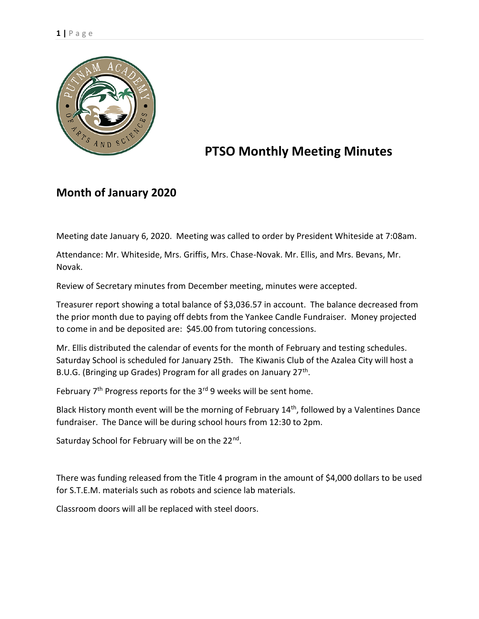

# **PTSO Monthly Meeting Minutes**

# **Month of January 2020**

Meeting date January 6, 2020. Meeting was called to order by President Whiteside at 7:08am.

Attendance: Mr. Whiteside, Mrs. Griffis, Mrs. Chase-Novak. Mr. Ellis, and Mrs. Bevans, Mr. Novak.

Review of Secretary minutes from December meeting, minutes were accepted.

Treasurer report showing a total balance of \$3,036.57 in account. The balance decreased from the prior month due to paying off debts from the Yankee Candle Fundraiser. Money projected to come in and be deposited are: \$45.00 from tutoring concessions.

Mr. Ellis distributed the calendar of events for the month of February and testing schedules. Saturday School is scheduled for January 25th. The Kiwanis Club of the Azalea City will host a B.U.G. (Bringing up Grades) Program for all grades on January 27<sup>th</sup>.

February  $7<sup>th</sup>$  Progress reports for the  $3<sup>rd</sup>$  9 weeks will be sent home.

Black History month event will be the morning of February 14<sup>th</sup>, followed by a Valentines Dance fundraiser. The Dance will be during school hours from 12:30 to 2pm.

Saturday School for February will be on the 22<sup>nd</sup>.

There was funding released from the Title 4 program in the amount of \$4,000 dollars to be used for S.T.E.M. materials such as robots and science lab materials.

Classroom doors will all be replaced with steel doors.